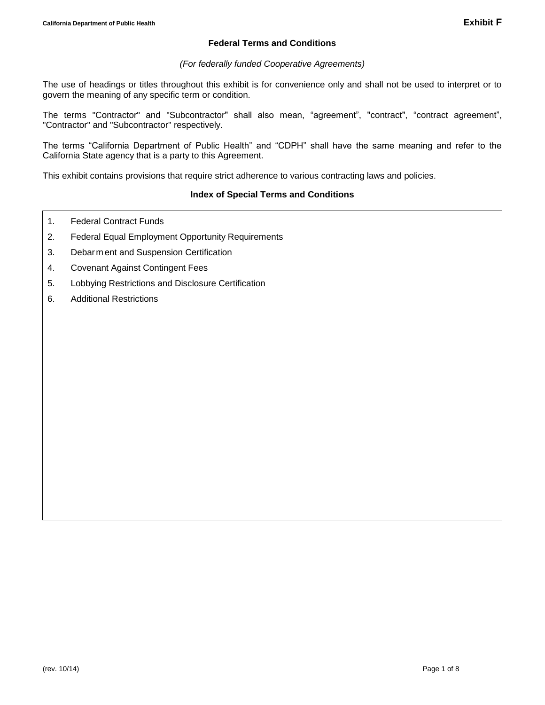# **Federal Terms and Conditions**

## *(For federally funded Cooperative Agreements)*

The use of headings or titles throughout this exhibit is for convenience only and shall not be used to interpret or to govern the meaning of any specific term or condition.

The terms "Contractor" and "Subcontractor" shall also mean, "agreement", "contract", "contract agreement", "Contractor" and "Subcontractor" respectively.

The terms "California Department of Public Health" and "CDPH" shall have the same meaning and refer to the California State agency that is a party to this Agreement.

This exhibit contains provisions that require strict adherence to various contracting laws and policies.

# **Index of Special Terms and Conditions**

- 1. Federal [Contract Funds](#page-2-0)
- 2. [Federal Equal Employment Opportunity Requirements](#page-0-0)
- 3. Debarm [ent and Suspension Certification](#page-2-1)
- 4. [Covenant Against Contingent Fees](#page-3-0)
- 5. [Lobbying Restrictions and Disclosure Certification](#page-3-1)
- <span id="page-0-0"></span>6. Additional Restrictions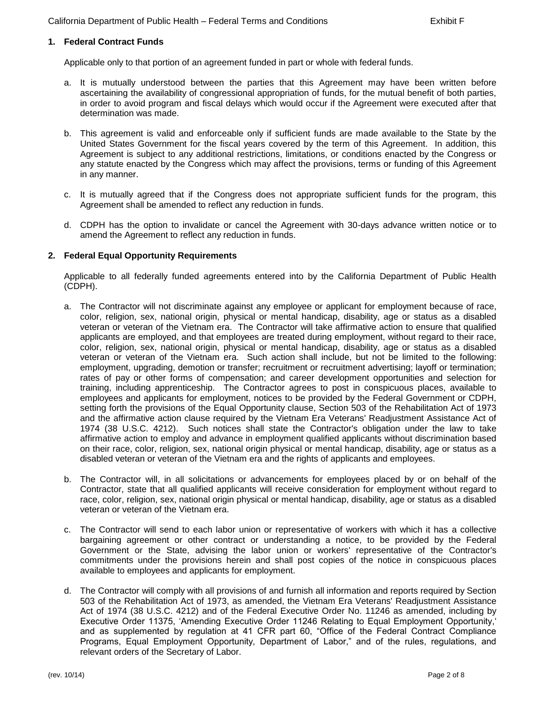## **1. Federal Contract Funds**

Applicable only to that portion of an agreement funded in part or whole with federal funds.

- a. It is mutually understood between the parties that this Agreement may have been written before ascertaining the availability of congressional appropriation of funds, for the mutual benefit of both parties, in order to avoid program and fiscal delays which would occur if the Agreement were executed after that determination was made.
- b. This agreement is valid and enforceable only if sufficient funds are made available to the State by the United States Government for the fiscal years covered by the term of this Agreement. In addition, this Agreement is subject to any additional restrictions, limitations, or conditions enacted by the Congress or any statute enacted by the Congress which may affect the provisions, terms or funding of this Agreement in any manner.
- c. It is mutually agreed that if the Congress does not appropriate sufficient funds for the program, this Agreement shall be amended to reflect any reduction in funds.
- d. CDPH has the option to invalidate or cancel the Agreement with 30-days advance written notice or to amend the Agreement to reflect any reduction in funds.

#### **2. Federal Equal Opportunity Requirements**

Applicable to all federally funded agreements entered into by the California Department of Public Health (CDPH).

- a. The Contractor will not discriminate against any employee or applicant for employment because of race, color, religion, sex, national origin, physical or mental handicap, disability, age or status as a disabled veteran or veteran of the Vietnam era. The Contractor will take affirmative action to ensure that qualified applicants are employed, and that employees are treated during employment, without regard to their race, color, religion, sex, national origin, physical or mental handicap, disability, age or status as a disabled veteran or veteran of the Vietnam era. Such action shall include, but not be limited to the following: employment, upgrading, demotion or transfer; recruitment or recruitment advertising; layoff or termination; rates of pay or other forms of compensation; and career development opportunities and selection for training, including apprenticeship. The Contractor agrees to post in conspicuous places, available to employees and applicants for employment, notices to be provided by the Federal Government or CDPH, setting forth the provisions of the Equal Opportunity clause, Section 503 of the Rehabilitation Act of 1973 and the affirmative action clause required by the Vietnam Era Veterans' Readjustment Assistance Act of 1974 (38 U.S.C. 4212). Such notices shall state the Contractor's obligation under the law to take affirmative action to employ and advance in employment qualified applicants without discrimination based on their race, color, religion, sex, national origin physical or mental handicap, disability, age or status as a disabled veteran or veteran of the Vietnam era and the rights of applicants and employees.
- b. The Contractor will, in all solicitations or advancements for employees placed by or on behalf of the Contractor, state that all qualified applicants will receive consideration for employment without regard to race, color, religion, sex, national origin physical or mental handicap, disability, age or status as a disabled veteran or veteran of the Vietnam era.
- c. The Contractor will send to each labor union or representative of workers with which it has a collective bargaining agreement or other contract or understanding a notice, to be provided by the Federal Government or the State, advising the labor union or workers' representative of the Contractor's commitments under the provisions herein and shall post copies of the notice in conspicuous places available to employees and applicants for employment.
- d. The Contractor will comply with all provisions of and furnish all information and reports required by Section 503 of the Rehabilitation Act of 1973, as amended, the Vietnam Era Veterans' Readjustment Assistance Act of 1974 (38 U.S.C. 4212) and of the Federal Executive Order No. 11246 as amended, including by Executive Order 11375, 'Amending Executive Order 11246 Relating to Equal Employment Opportunity,' and as supplemented by regulation at 41 CFR part 60, "Office of the Federal Contract Compliance Programs, Equal Employment Opportunity, Department of Labor," and of the rules, regulations, and relevant orders of the Secretary of Labor.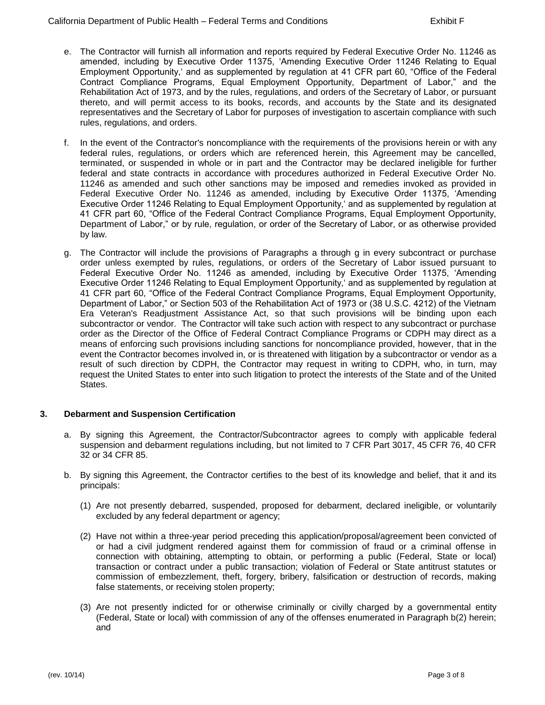- e. The Contractor will furnish all information and reports required by Federal Executive Order No. 11246 as amended, including by Executive Order 11375, 'Amending Executive Order 11246 Relating to Equal Employment Opportunity,' and as supplemented by regulation at 41 CFR part 60, "Office of the Federal Contract Compliance Programs, Equal Employment Opportunity, Department of Labor," and the Rehabilitation Act of 1973, and by the rules, regulations, and orders of the Secretary of Labor, or pursuant thereto, and will permit access to its books, records, and accounts by the State and its designated representatives and the Secretary of Labor for purposes of investigation to ascertain compliance with such rules, regulations, and orders.
- f. In the event of the Contractor's noncompliance with the requirements of the provisions herein or with any federal rules, regulations, or orders which are referenced herein, this Agreement may be cancelled, terminated, or suspended in whole or in part and the Contractor may be declared ineligible for further federal and state contracts in accordance with procedures authorized in Federal Executive Order No. 11246 as amended and such other sanctions may be imposed and remedies invoked as provided in Federal Executive Order No. 11246 as amended, including by Executive Order 11375, 'Amending Executive Order 11246 Relating to Equal Employment Opportunity,' and as supplemented by regulation at 41 CFR part 60, "Office of the Federal Contract Compliance Programs, Equal Employment Opportunity, Department of Labor," or by rule, regulation, or order of the Secretary of Labor, or as otherwise provided by law.
- g. The Contractor will include the provisions of Paragraphs a through g in every subcontract or purchase order unless exempted by rules, regulations, or orders of the Secretary of Labor issued pursuant to Federal Executive Order No. 11246 as amended, including by Executive Order 11375, 'Amending Executive Order 11246 Relating to Equal Employment Opportunity,' and as supplemented by regulation at 41 CFR part 60, "Office of the Federal Contract Compliance Programs, Equal Employment Opportunity, Department of Labor," or Section 503 of the Rehabilitation Act of 1973 or (38 U.S.C. 4212) of the Vietnam Era Veteran's Readjustment Assistance Act, so that such provisions will be binding upon each subcontractor or vendor. The Contractor will take such action with respect to any subcontract or purchase order as the Director of the Office of Federal Contract Compliance Programs or CDPH may direct as a means of enforcing such provisions including sanctions for noncompliance provided, however, that in the event the Contractor becomes involved in, or is threatened with litigation by a subcontractor or vendor as a result of such direction by CDPH, the Contractor may request in writing to CDPH, who, in turn, may request the United States to enter into such litigation to protect the interests of the State and of the United States.

### <span id="page-2-1"></span><span id="page-2-0"></span>**3. Debarment and Suspension Certification**

- a. By signing this Agreement, the Contractor/Subcontractor agrees to comply with applicable federal suspension and debarment regulations including, but not limited to 7 CFR Part 3017, 45 CFR 76, 40 CFR 32 or 34 CFR 85.
- b. By signing this Agreement, the Contractor certifies to the best of its knowledge and belief, that it and its principals:
	- (1) Are not presently debarred, suspended, proposed for debarment, declared ineligible, or voluntarily excluded by any federal department or agency;
	- (2) Have not within a three-year period preceding this application/proposal/agreement been convicted of or had a civil judgment rendered against them for commission of fraud or a criminal offense in connection with obtaining, attempting to obtain, or performing a public (Federal, State or local) transaction or contract under a public transaction; violation of Federal or State antitrust statutes or commission of embezzlement, theft, forgery, bribery, falsification or destruction of records, making false statements, or receiving stolen property;
	- (3) Are not presently indicted for or otherwise criminally or civilly charged by a governmental entity (Federal, State or local) with commission of any of the offenses enumerated in Paragraph b(2) herein; and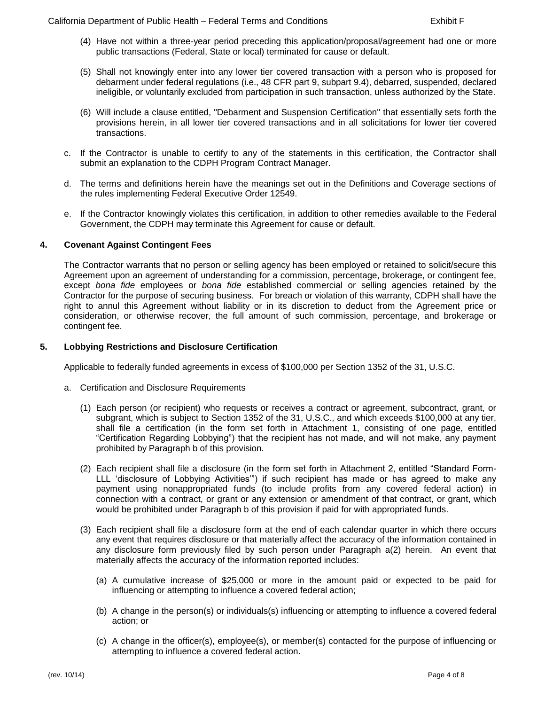- (4) Have not within a three-year period preceding this application/proposal/agreement had one or more public transactions (Federal, State or local) terminated for cause or default.
- (5) Shall not knowingly enter into any lower tier covered transaction with a person who is proposed for debarment under federal regulations (i.e., 48 CFR part 9, subpart 9.4), debarred, suspended, declared ineligible, or voluntarily excluded from participation in such transaction, unless authorized by the State.
- (6) Will include a clause entitled, "Debarment and Suspension Certification'' that essentially sets forth the provisions herein, in all lower tier covered transactions and in all solicitations for lower tier covered transactions.
- c. If the Contractor is unable to certify to any of the statements in this certification, the Contractor shall submit an explanation to the CDPH Program Contract Manager.
- d. The terms and definitions herein have the meanings set out in the Definitions and Coverage sections of the rules implementing Federal Executive Order 12549.
- e. If the Contractor knowingly violates this certification, in addition to other remedies available to the Federal Government, the CDPH may terminate this Agreement for cause or default.

### <span id="page-3-0"></span>**4. Covenant Against Contingent Fees**

The Contractor warrants that no person or selling agency has been employed or retained to solicit/secure this Agreement upon an agreement of understanding for a commission, percentage, brokerage, or contingent fee, except *bona fide* employees or *bona fide* established commercial or selling agencies retained by the Contractor for the purpose of securing business. For breach or violation of this warranty, CDPH shall have the right to annul this Agreement without liability or in its discretion to deduct from the Agreement price or consideration, or otherwise recover, the full amount of such commission, percentage, and brokerage or contingent fee.

### <span id="page-3-1"></span>**5. Lobbying Restrictions and Disclosure Certification**

Applicable to federally funded agreements in excess of \$100,000 per Section 1352 of the 31, U.S.C.

- a. Certification and Disclosure Requirements
	- (1) Each person (or recipient) who requests or receives a contract or agreement, subcontract, grant, or subgrant, which is subject to Section 1352 of the 31, U.S.C., and which exceeds \$100,000 at any tier, shall file a certification (in the form set forth in Attachment 1, consisting of one page, entitled "Certification Regarding Lobbying") that the recipient has not made, and will not make, any payment prohibited by Paragraph b of this provision.
	- (2) Each recipient shall file a disclosure (in the form set forth in Attachment 2, entitled "Standard Form-LLL 'disclosure of Lobbying Activities'") if such recipient has made or has agreed to make any payment using nonappropriated funds (to include profits from any covered federal action) in connection with a contract, or grant or any extension or amendment of that contract, or grant, which would be prohibited under Paragraph b of this provision if paid for with appropriated funds.
	- (3) Each recipient shall file a disclosure form at the end of each calendar quarter in which there occurs any event that requires disclosure or that materially affect the accuracy of the information contained in any disclosure form previously filed by such person under Paragraph a(2) herein. An event that materially affects the accuracy of the information reported includes:
		- (a) A cumulative increase of \$25,000 or more in the amount paid or expected to be paid for influencing or attempting to influence a covered federal action;
		- (b) A change in the person(s) or individuals(s) influencing or attempting to influence a covered federal action; or
		- (c) A change in the officer(s), employee(s), or member(s) contacted for the purpose of influencing or attempting to influence a covered federal action.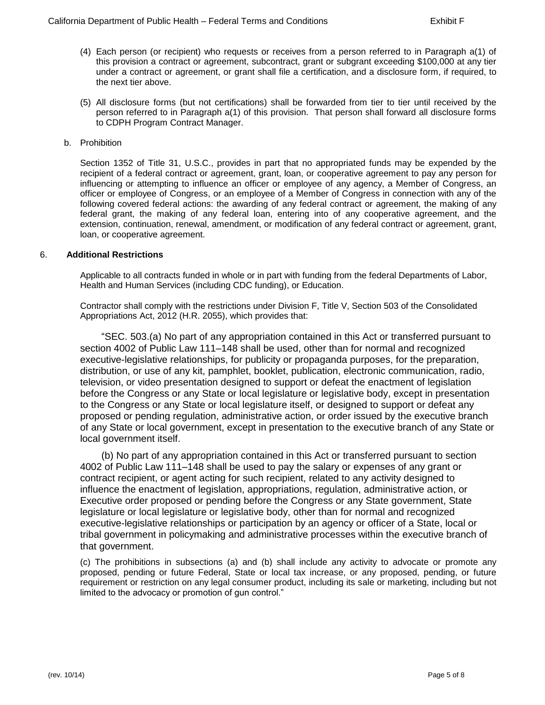- (4) Each person (or recipient) who requests or receives from a person referred to in Paragraph a(1) of this provision a contract or agreement, subcontract, grant or subgrant exceeding \$100,000 at any tier under a contract or agreement, or grant shall file a certification, and a disclosure form, if required, to the next tier above.
- (5) All disclosure forms (but not certifications) shall be forwarded from tier to tier until received by the person referred to in Paragraph a(1) of this provision. That person shall forward all disclosure forms to CDPH Program Contract Manager.
- b. Prohibition

Section 1352 of Title 31, U.S.C., provides in part that no appropriated funds may be expended by the recipient of a federal contract or agreement, grant, loan, or cooperative agreement to pay any person for influencing or attempting to influence an officer or employee of any agency, a Member of Congress, an officer or employee of Congress, or an employee of a Member of Congress in connection with any of the following covered federal actions: the awarding of any federal contract or agreement, the making of any federal grant, the making of any federal loan, entering into of any cooperative agreement, and the extension, continuation, renewal, amendment, or modification of any federal contract or agreement, grant, loan, or cooperative agreement.

### 6. **Additional Restrictions**

Applicable to all contracts funded in whole or in part with funding from the federal Departments of Labor, Health and Human Services (including CDC funding), or Education.

Contractor shall comply with the restrictions under Division F, Title V, Section 503 of the Consolidated Appropriations Act, 2012 (H.R. 2055), which provides that:

"SEC. 503.(a) No part of any appropriation contained in this Act or transferred pursuant to section 4002 of Public Law 111–148 shall be used, other than for normal and recognized executive-legislative relationships, for publicity or propaganda purposes, for the preparation, distribution, or use of any kit, pamphlet, booklet, publication, electronic communication, radio, television, or video presentation designed to support or defeat the enactment of legislation before the Congress or any State or local legislature or legislative body, except in presentation to the Congress or any State or local legislature itself, or designed to support or defeat any proposed or pending regulation, administrative action, or order issued by the executive branch of any State or local government, except in presentation to the executive branch of any State or local government itself.

(b) No part of any appropriation contained in this Act or transferred pursuant to section 4002 of Public Law 111–148 shall be used to pay the salary or expenses of any grant or contract recipient, or agent acting for such recipient, related to any activity designed to influence the enactment of legislation, appropriations, regulation, administrative action, or Executive order proposed or pending before the Congress or any State government, State legislature or local legislature or legislative body, other than for normal and recognized executive-legislative relationships or participation by an agency or officer of a State, local or tribal government in policymaking and administrative processes within the executive branch of that government.

(c) The prohibitions in subsections (a) and (b) shall include any activity to advocate or promote any proposed, pending or future Federal, State or local tax increase, or any proposed, pending, or future requirement or restriction on any legal consumer product, including its sale or marketing, including but not limited to the advocacy or promotion of gun control."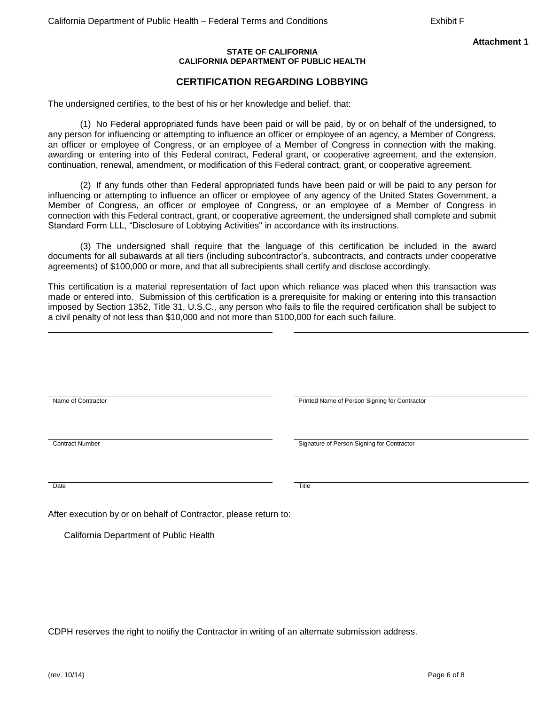#### **STATE OF CALIFORNIA CALIFORNIA DEPARTMENT OF PUBLIC HEALTH**

# **CERTIFICATION REGARDING LOBBYING**

The undersigned certifies, to the best of his or her knowledge and belief, that:

(1) No Federal appropriated funds have been paid or will be paid, by or on behalf of the undersigned, to any person for influencing or attempting to influence an officer or employee of an agency, a Member of Congress, an officer or employee of Congress, or an employee of a Member of Congress in connection with the making, awarding or entering into of this Federal contract, Federal grant, or cooperative agreement, and the extension, continuation, renewal, amendment, or modification of this Federal contract, grant, or cooperative agreement.

(2) If any funds other than Federal appropriated funds have been paid or will be paid to any person for influencing or attempting to influence an officer or employee of any agency of the United States Government, a Member of Congress, an officer or employee of Congress, or an employee of a Member of Congress in connection with this Federal contract, grant, or cooperative agreement, the undersigned shall complete and submit Standard Form LLL, "Disclosure of Lobbying Activities'' in accordance with its instructions.

(3) The undersigned shall require that the language of this certification be included in the award documents for all subawards at all tiers (including subcontractor's, subcontracts, and contracts under cooperative agreements) of \$100,000 or more, and that all subrecipients shall certify and disclose accordingly.

This certification is a material representation of fact upon which reliance was placed when this transaction was made or entered into. Submission of this certification is a prerequisite for making or entering into this transaction imposed by Section 1352, Title 31, U.S.C., any person who fails to file the required certification shall be subject to a civil penalty of not less than \$10,000 and not more than \$100,000 for each such failure.

| Name of Contractor     | Printed Name of Person Signing for Contractor |  |
|------------------------|-----------------------------------------------|--|
|                        |                                               |  |
|                        |                                               |  |
| <b>Contract Number</b> | Signature of Person Signing for Contractor    |  |
|                        |                                               |  |
| Date                   | Title                                         |  |
|                        |                                               |  |

After execution by or on behalf of Contractor, please return to:

California Department of Public Health

CDPH reserves the right to notifiy the Contractor in writing of an alternate submission address.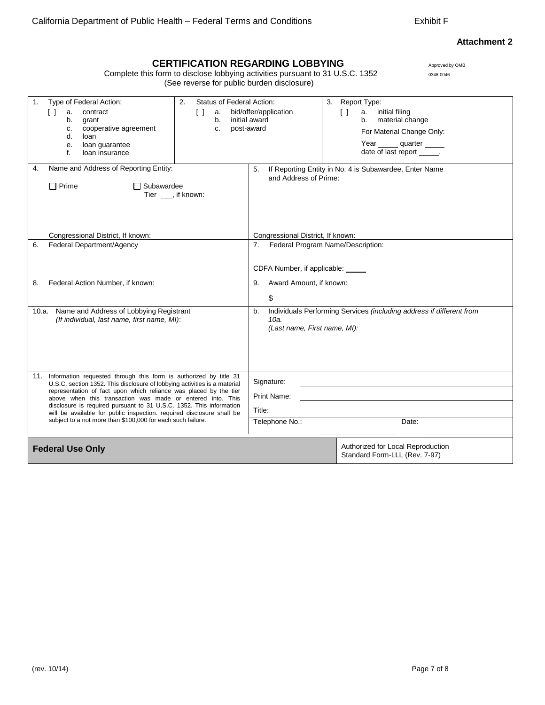## **Attachment 2**

# **CERTIFICATION REGARDING LOBBYING**

Complete this form to disclose lobbying activities pursuant to 31 U.S.C. 1352 0348-0046 (See reverse for public burden disclosure)

| Type of Federal Action:<br>1.<br>$\lceil$ $\rceil$<br>contract<br>a.<br>b.<br>grant<br>cooperative agreement<br>c.<br>d.<br>loan<br>loan guarantee<br>е.<br>f.<br>loan insurance                                                                                                                                                                                                                                                                                                                     | Status of Federal Action:<br>2.<br>$\Box$<br>a.<br>b.<br>C. | bid/offer/application<br>initial award<br>post-award                         | 3. Report Type:<br>$\Box$<br>a. initial filing<br>material change<br>b.<br>For Material Change Only:<br>Year ______ quarter _____<br>date of last report ______. |
|------------------------------------------------------------------------------------------------------------------------------------------------------------------------------------------------------------------------------------------------------------------------------------------------------------------------------------------------------------------------------------------------------------------------------------------------------------------------------------------------------|-------------------------------------------------------------|------------------------------------------------------------------------------|------------------------------------------------------------------------------------------------------------------------------------------------------------------|
| Name and Address of Reporting Entity:<br>4.<br>$\Box$ Prime<br>$\Box$ Subawardee                                                                                                                                                                                                                                                                                                                                                                                                                     | Tier, if known:                                             | 5.<br>and Address of Prime:                                                  | If Reporting Entity in No. 4 is Subawardee, Enter Name                                                                                                           |
| Congressional District, If known:<br>Federal Department/Agency<br>6.                                                                                                                                                                                                                                                                                                                                                                                                                                 |                                                             | Congressional District, If known:<br>7.<br>CDFA Number, if applicable: _____ | Federal Program Name/Description:                                                                                                                                |
| Federal Action Number, if known:<br>8.                                                                                                                                                                                                                                                                                                                                                                                                                                                               |                                                             | Award Amount, if known:<br>9.<br>\$                                          |                                                                                                                                                                  |
| Name and Address of Lobbying Registrant<br>10.a.<br>(If individual, last name, first name, MI):                                                                                                                                                                                                                                                                                                                                                                                                      |                                                             | b.<br>10a.<br>(Last name, First name, MI):                                   | Individuals Performing Services (including address if different from                                                                                             |
| 11. Information requested through this form is authorized by title 31<br>U.S.C. section 1352. This disclosure of lobbying activities is a material<br>representation of fact upon which reliance was placed by the tier<br>above when this transaction was made or entered into. This<br>disclosure is required pursuant to 31 U.S.C. 1352. This information<br>will be available for public inspection. required disclosure shall be<br>subject to a not more than \$100,000 for each such failure. |                                                             | Signature:<br>Print Name:<br>Title:<br>Telephone No.:<br>Date:               |                                                                                                                                                                  |
| <b>Federal Use Only</b>                                                                                                                                                                                                                                                                                                                                                                                                                                                                              |                                                             |                                                                              | Authorized for Local Reproduction<br>Standard Form-LLL (Rev. 7-97)                                                                                               |